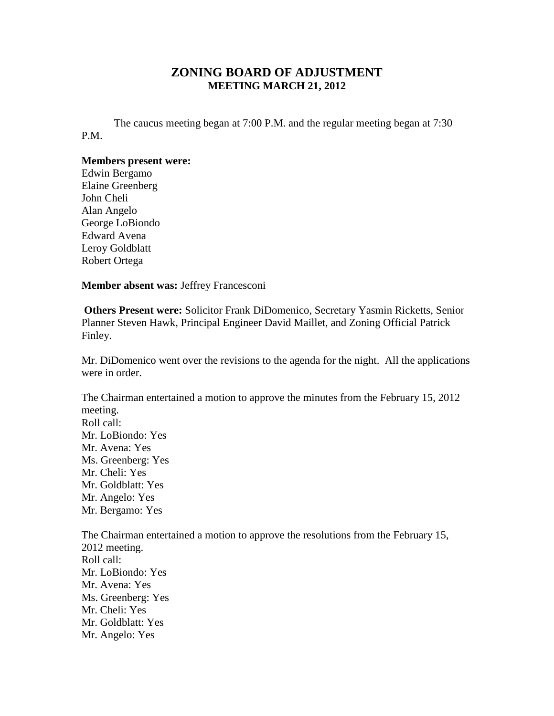## **ZONING BOARD OF ADJUSTMENT MEETING MARCH 21, 2012**

The caucus meeting began at 7:00 P.M. and the regular meeting began at 7:30 P.M.

## **Members present were:**

Edwin Bergamo Elaine Greenberg John Cheli Alan Angelo George LoBiondo Edward Avena Leroy Goldblatt Robert Ortega

**Member absent was:** Jeffrey Francesconi

**Others Present were:** Solicitor Frank DiDomenico, Secretary Yasmin Ricketts, Senior Planner Steven Hawk, Principal Engineer David Maillet, and Zoning Official Patrick Finley.

Mr. DiDomenico went over the revisions to the agenda for the night. All the applications were in order.

The Chairman entertained a motion to approve the minutes from the February 15, 2012 meeting. Roll call: Mr. LoBiondo: Yes Mr. Avena: Yes Ms. Greenberg: Yes Mr. Cheli: Yes Mr. Goldblatt: Yes Mr. Angelo: Yes Mr. Bergamo: Yes The Chairman entertained a motion to approve the resolutions from the February 15, 2012 meeting. Roll call: Mr. LoBiondo: Yes

Mr. Avena: Yes Ms. Greenberg: Yes Mr. Cheli: Yes Mr. Goldblatt: Yes Mr. Angelo: Yes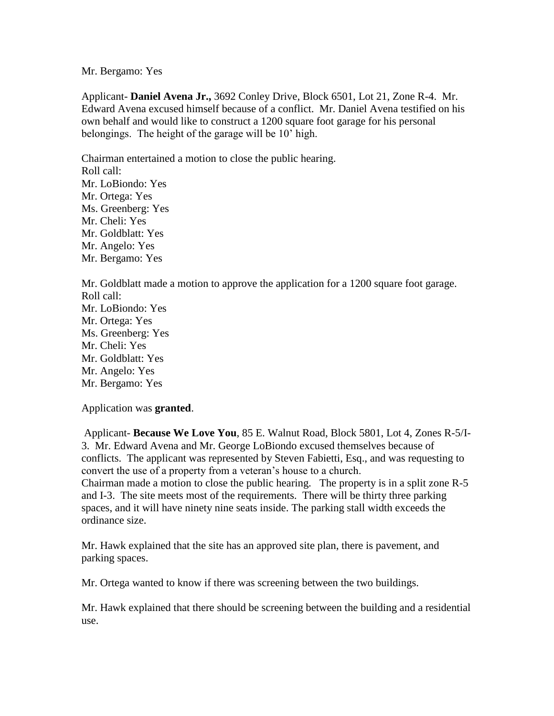## Mr. Bergamo: Yes

Applicant- **Daniel Avena Jr.,** 3692 Conley Drive, Block 6501, Lot 21, Zone R-4. Mr. Edward Avena excused himself because of a conflict. Mr. Daniel Avena testified on his own behalf and would like to construct a 1200 square foot garage for his personal belongings. The height of the garage will be 10' high.

Chairman entertained a motion to close the public hearing. Roll call: Mr. LoBiondo: Yes Mr. Ortega: Yes Ms. Greenberg: Yes Mr. Cheli: Yes Mr. Goldblatt: Yes Mr. Angelo: Yes Mr. Bergamo: Yes

Mr. Goldblatt made a motion to approve the application for a 1200 square foot garage. Roll call: Mr. LoBiondo: Yes Mr. Ortega: Yes Ms. Greenberg: Yes Mr. Cheli: Yes Mr. Goldblatt: Yes Mr. Angelo: Yes Mr. Bergamo: Yes

Application was **granted**.

Applicant- **Because We Love You**, 85 E. Walnut Road, Block 5801, Lot 4, Zones R-5/I-3. Mr. Edward Avena and Mr. George LoBiondo excused themselves because of conflicts. The applicant was represented by Steven Fabietti, Esq., and was requesting to convert the use of a property from a veteran's house to a church. Chairman made a motion to close the public hearing. The property is in a split zone R-5 and I-3. The site meets most of the requirements. There will be thirty three parking spaces, and it will have ninety nine seats inside. The parking stall width exceeds the ordinance size.

Mr. Hawk explained that the site has an approved site plan, there is pavement, and parking spaces.

Mr. Ortega wanted to know if there was screening between the two buildings.

Mr. Hawk explained that there should be screening between the building and a residential use.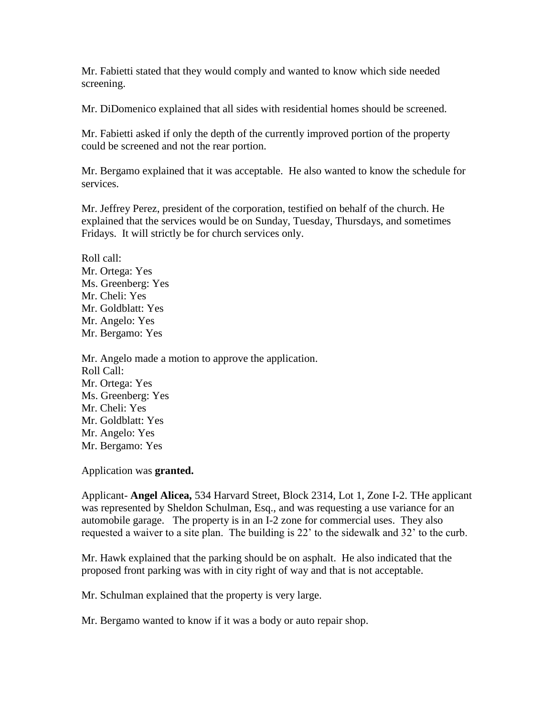Mr. Fabietti stated that they would comply and wanted to know which side needed screening.

Mr. DiDomenico explained that all sides with residential homes should be screened.

Mr. Fabietti asked if only the depth of the currently improved portion of the property could be screened and not the rear portion.

Mr. Bergamo explained that it was acceptable. He also wanted to know the schedule for services.

Mr. Jeffrey Perez, president of the corporation, testified on behalf of the church. He explained that the services would be on Sunday, Tuesday, Thursdays, and sometimes Fridays. It will strictly be for church services only.

Roll call: Mr. Ortega: Yes Ms. Greenberg: Yes Mr. Cheli: Yes Mr. Goldblatt: Yes Mr. Angelo: Yes Mr. Bergamo: Yes

Mr. Angelo made a motion to approve the application. Roll Call: Mr. Ortega: Yes Ms. Greenberg: Yes Mr. Cheli: Yes Mr. Goldblatt: Yes Mr. Angelo: Yes Mr. Bergamo: Yes

Application was **granted.**

Applicant- **Angel Alicea,** 534 Harvard Street, Block 2314, Lot 1, Zone I-2. THe applicant was represented by Sheldon Schulman, Esq., and was requesting a use variance for an automobile garage. The property is in an I-2 zone for commercial uses. They also requested a waiver to a site plan. The building is 22' to the sidewalk and 32' to the curb.

Mr. Hawk explained that the parking should be on asphalt. He also indicated that the proposed front parking was with in city right of way and that is not acceptable.

Mr. Schulman explained that the property is very large.

Mr. Bergamo wanted to know if it was a body or auto repair shop.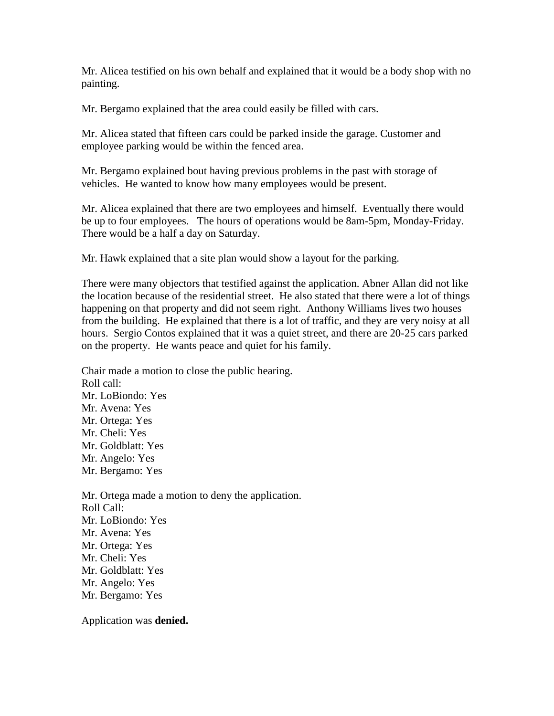Mr. Alicea testified on his own behalf and explained that it would be a body shop with no painting.

Mr. Bergamo explained that the area could easily be filled with cars.

Mr. Alicea stated that fifteen cars could be parked inside the garage. Customer and employee parking would be within the fenced area.

Mr. Bergamo explained bout having previous problems in the past with storage of vehicles. He wanted to know how many employees would be present.

Mr. Alicea explained that there are two employees and himself. Eventually there would be up to four employees. The hours of operations would be 8am-5pm, Monday-Friday. There would be a half a day on Saturday.

Mr. Hawk explained that a site plan would show a layout for the parking.

There were many objectors that testified against the application. Abner Allan did not like the location because of the residential street. He also stated that there were a lot of things happening on that property and did not seem right. Anthony Williams lives two houses from the building. He explained that there is a lot of traffic, and they are very noisy at all hours. Sergio Contos explained that it was a quiet street, and there are 20-25 cars parked on the property. He wants peace and quiet for his family.

Chair made a motion to close the public hearing. Roll call: Mr. LoBiondo: Yes Mr. Avena: Yes Mr. Ortega: Yes Mr. Cheli: Yes Mr. Goldblatt: Yes Mr. Angelo: Yes Mr. Bergamo: Yes

Mr. Ortega made a motion to deny the application. Roll Call: Mr. LoBiondo: Yes Mr. Avena: Yes Mr. Ortega: Yes Mr. Cheli: Yes Mr. Goldblatt: Yes Mr. Angelo: Yes Mr. Bergamo: Yes

Application was **denied.**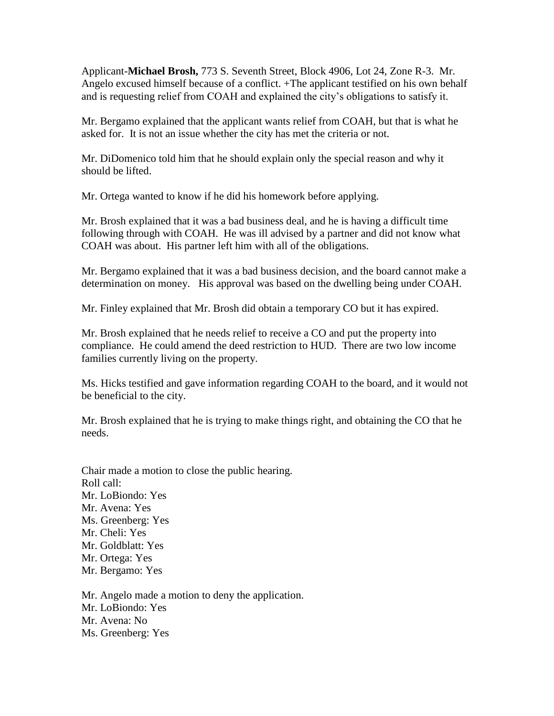Applicant-**Michael Brosh,** 773 S. Seventh Street, Block 4906, Lot 24, Zone R-3. Mr. Angelo excused himself because of a conflict. +The applicant testified on his own behalf and is requesting relief from COAH and explained the city's obligations to satisfy it.

Mr. Bergamo explained that the applicant wants relief from COAH, but that is what he asked for. It is not an issue whether the city has met the criteria or not.

Mr. DiDomenico told him that he should explain only the special reason and why it should be lifted.

Mr. Ortega wanted to know if he did his homework before applying.

Mr. Brosh explained that it was a bad business deal, and he is having a difficult time following through with COAH. He was ill advised by a partner and did not know what COAH was about. His partner left him with all of the obligations.

Mr. Bergamo explained that it was a bad business decision, and the board cannot make a determination on money. His approval was based on the dwelling being under COAH.

Mr. Finley explained that Mr. Brosh did obtain a temporary CO but it has expired.

Mr. Brosh explained that he needs relief to receive a CO and put the property into compliance. He could amend the deed restriction to HUD. There are two low income families currently living on the property.

Ms. Hicks testified and gave information regarding COAH to the board, and it would not be beneficial to the city.

Mr. Brosh explained that he is trying to make things right, and obtaining the CO that he needs.

Chair made a motion to close the public hearing. Roll call: Mr. LoBiondo: Yes Mr. Avena: Yes Ms. Greenberg: Yes Mr. Cheli: Yes Mr. Goldblatt: Yes Mr. Ortega: Yes Mr. Bergamo: Yes Mr. Angelo made a motion to deny the application.

Mr. LoBiondo: Yes Mr. Avena: No Ms. Greenberg: Yes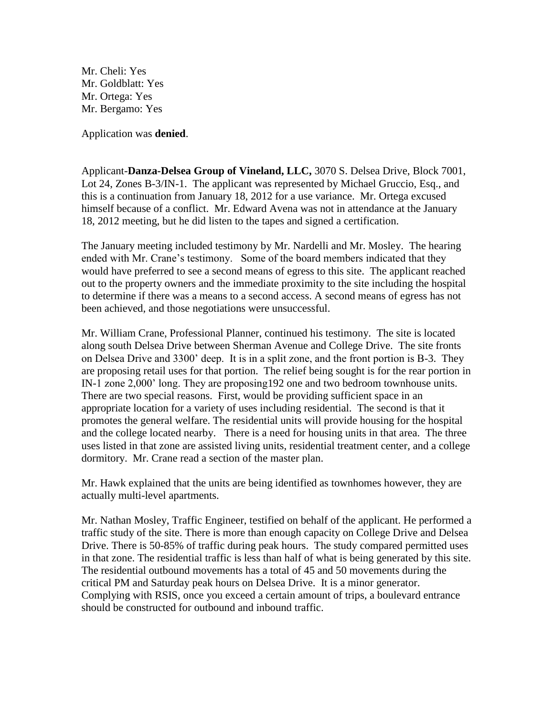Mr. Cheli: Yes Mr. Goldblatt: Yes Mr. Ortega: Yes Mr. Bergamo: Yes

Application was **denied**.

Applicant-**Danza-Delsea Group of Vineland, LLC,** 3070 S. Delsea Drive, Block 7001, Lot 24, Zones B-3/IN-1. The applicant was represented by Michael Gruccio, Esq., and this is a continuation from January 18, 2012 for a use variance. Mr. Ortega excused himself because of a conflict. Mr. Edward Avena was not in attendance at the January 18, 2012 meeting, but he did listen to the tapes and signed a certification.

The January meeting included testimony by Mr. Nardelli and Mr. Mosley. The hearing ended with Mr. Crane's testimony. Some of the board members indicated that they would have preferred to see a second means of egress to this site. The applicant reached out to the property owners and the immediate proximity to the site including the hospital to determine if there was a means to a second access. A second means of egress has not been achieved, and those negotiations were unsuccessful.

Mr. William Crane, Professional Planner, continued his testimony. The site is located along south Delsea Drive between Sherman Avenue and College Drive. The site fronts on Delsea Drive and 3300' deep. It is in a split zone, and the front portion is B-3. They are proposing retail uses for that portion. The relief being sought is for the rear portion in IN-1 zone 2,000' long. They are proposing192 one and two bedroom townhouse units. There are two special reasons. First, would be providing sufficient space in an appropriate location for a variety of uses including residential. The second is that it promotes the general welfare. The residential units will provide housing for the hospital and the college located nearby. There is a need for housing units in that area. The three uses listed in that zone are assisted living units, residential treatment center, and a college dormitory. Mr. Crane read a section of the master plan.

Mr. Hawk explained that the units are being identified as townhomes however, they are actually multi-level apartments.

Mr. Nathan Mosley, Traffic Engineer, testified on behalf of the applicant. He performed a traffic study of the site. There is more than enough capacity on College Drive and Delsea Drive. There is 50-85% of traffic during peak hours. The study compared permitted uses in that zone. The residential traffic is less than half of what is being generated by this site. The residential outbound movements has a total of 45 and 50 movements during the critical PM and Saturday peak hours on Delsea Drive. It is a minor generator. Complying with RSIS, once you exceed a certain amount of trips, a boulevard entrance should be constructed for outbound and inbound traffic.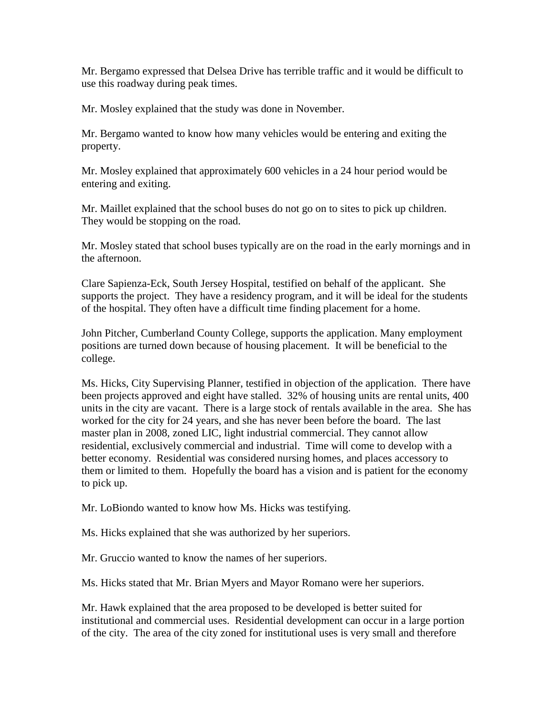Mr. Bergamo expressed that Delsea Drive has terrible traffic and it would be difficult to use this roadway during peak times.

Mr. Mosley explained that the study was done in November.

Mr. Bergamo wanted to know how many vehicles would be entering and exiting the property.

Mr. Mosley explained that approximately 600 vehicles in a 24 hour period would be entering and exiting.

Mr. Maillet explained that the school buses do not go on to sites to pick up children. They would be stopping on the road.

Mr. Mosley stated that school buses typically are on the road in the early mornings and in the afternoon.

Clare Sapienza-Eck, South Jersey Hospital, testified on behalf of the applicant. She supports the project. They have a residency program, and it will be ideal for the students of the hospital. They often have a difficult time finding placement for a home.

John Pitcher, Cumberland County College, supports the application. Many employment positions are turned down because of housing placement. It will be beneficial to the college.

Ms. Hicks, City Supervising Planner, testified in objection of the application. There have been projects approved and eight have stalled. 32% of housing units are rental units, 400 units in the city are vacant. There is a large stock of rentals available in the area. She has worked for the city for 24 years, and she has never been before the board. The last master plan in 2008, zoned LIC, light industrial commercial. They cannot allow residential, exclusively commercial and industrial. Time will come to develop with a better economy. Residential was considered nursing homes, and places accessory to them or limited to them. Hopefully the board has a vision and is patient for the economy to pick up.

Mr. LoBiondo wanted to know how Ms. Hicks was testifying.

Ms. Hicks explained that she was authorized by her superiors.

Mr. Gruccio wanted to know the names of her superiors.

Ms. Hicks stated that Mr. Brian Myers and Mayor Romano were her superiors.

Mr. Hawk explained that the area proposed to be developed is better suited for institutional and commercial uses. Residential development can occur in a large portion of the city. The area of the city zoned for institutional uses is very small and therefore